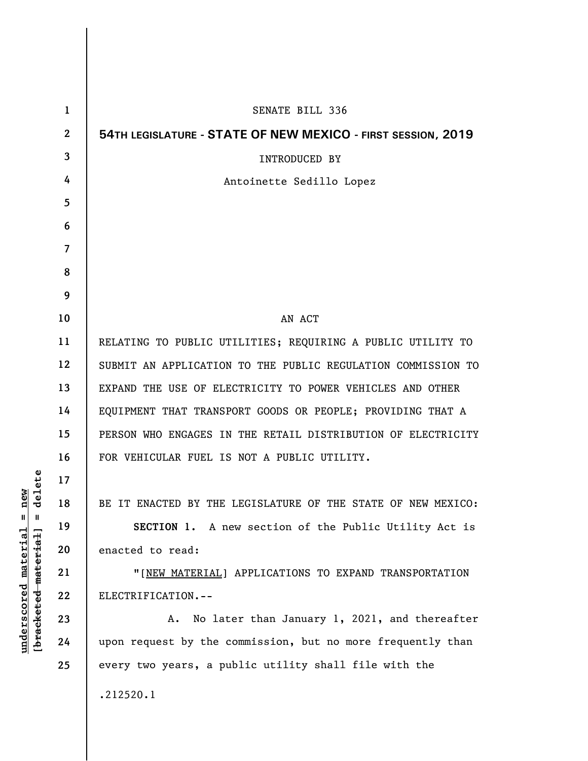| 1              | <b>SENATE BILL 336</b>                                       |
|----------------|--------------------------------------------------------------|
| $\mathbf{2}$   | 54TH LEGISLATURE - STATE OF NEW MEXICO - FIRST SESSION, 2019 |
| 3              | <b>INTRODUCED BY</b>                                         |
| 4              | Antoinette Sedillo Lopez                                     |
| 5              |                                                              |
| 6              |                                                              |
| $\overline{7}$ |                                                              |
| 8              |                                                              |
| 9              |                                                              |
| 10             | AN ACT                                                       |
| 11             | RELATING TO PUBLIC UTILITIES; REQUIRING A PUBLIC UTILITY TO  |
| 12             | SUBMIT AN APPLICATION TO THE PUBLIC REGULATION COMMISSION TO |
| 13             | EXPAND THE USE OF ELECTRICITY TO POWER VEHICLES AND OTHER    |
| 14             | EQUIPMENT THAT TRANSPORT GOODS OR PEOPLE; PROVIDING THAT A   |
| 15             | PERSON WHO ENGAGES IN THE RETAIL DISTRIBUTION OF ELECTRICITY |
| 16             | FOR VEHICULAR FUEL IS NOT A PUBLIC UTILITY.                  |
| 17             |                                                              |
| 18             | BE IT ENACTED BY THE LEGISLATURE OF THE STATE OF NEW MEXICO: |
| 19             | SECTION 1. A new section of the Public Utility Act is        |
| 20             | enacted to read:                                             |
| 21             | "[NEW MATERIAL] APPLICATIONS TO EXPAND TRANSPORTATION        |
| 22             | ELECTRIFICATION.--                                           |
| 23             | A. No later than January 1, 2021, and thereafter             |
| 24             | upon request by the commission, but no more frequently than  |
| 25             | every two years, a public utility shall file with the        |
|                | .212520.1                                                    |

 $[**bracket eted metert et**] = **del et e**$ **[bracketed material] = delete**  $underscored material = new$ **underscored material = new**

 $\mathsf I$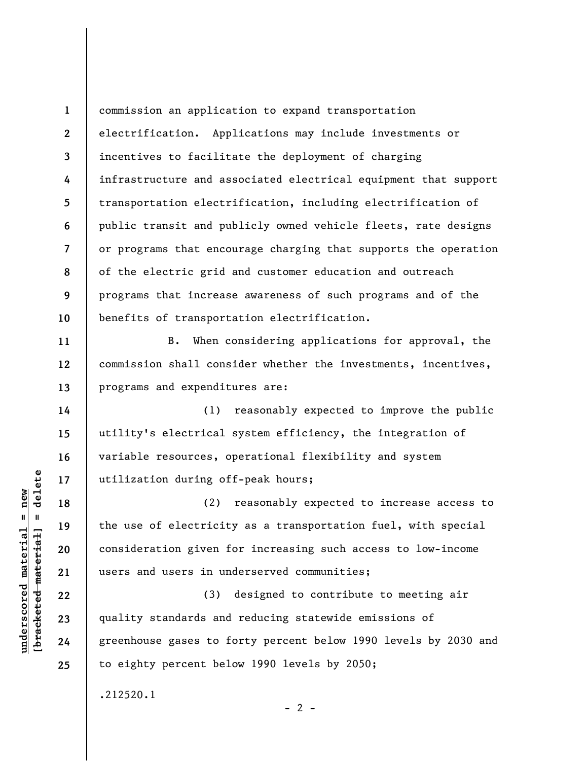**1 2 3 4 5 6 7 8 9 10**  commission an application to expand transportation electrification. Applications may include investments or incentives to facilitate the deployment of charging infrastructure and associated electrical equipment that support transportation electrification, including electrification of public transit and publicly owned vehicle fleets, rate designs or programs that encourage charging that supports the operation of the electric grid and customer education and outreach programs that increase awareness of such programs and of the benefits of transportation electrification.

B. When considering applications for approval, the commission shall consider whether the investments, incentives, programs and expenditures are:

(1) reasonably expected to improve the public utility's electrical system efficiency, the integration of variable resources, operational flexibility and system utilization during off-peak hours;

(2) reasonably expected to increase access to the use of electricity as a transportation fuel, with special consideration given for increasing such access to low-income users and users in underserved communities;

(3) designed to contribute to meeting air quality standards and reducing statewide emissions of greenhouse gases to forty percent below 1990 levels by 2030 and to eighty percent below 1990 levels by 2050;

 $- 2 -$ 

.212520.1

 $\frac{1}{2}$  bracketed material = delete **[bracketed material] = delete**  $anderscored material = new$ **underscored material = new**

**11** 

**12** 

**13** 

**14** 

**15** 

**16** 

**17** 

**18** 

**19** 

**20** 

**21** 

**22** 

**23** 

**24** 

**25**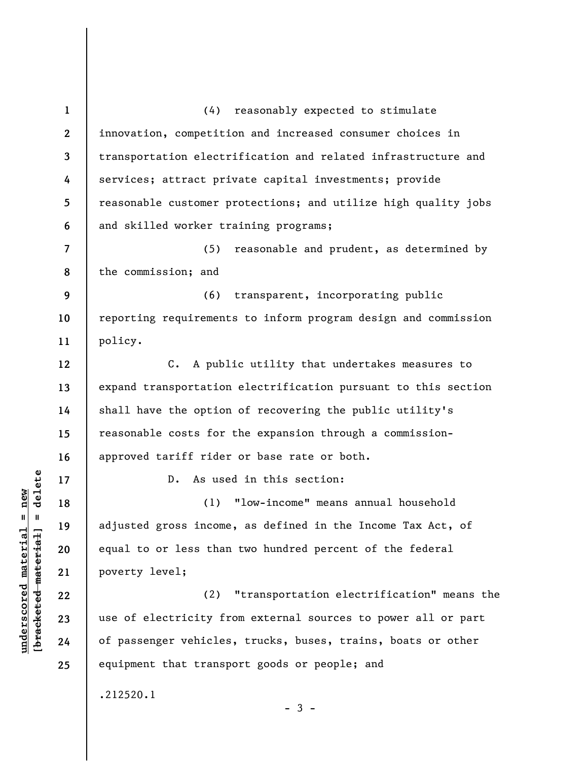| $\mathbf{1}$             | (4) reasonably expected to stimulate                           |
|--------------------------|----------------------------------------------------------------|
| $\boldsymbol{2}$         | innovation, competition and increased consumer choices in      |
| 3                        | transportation electrification and related infrastructure and  |
| 4                        | services; attract private capital investments; provide         |
| 5                        | reasonable customer protections; and utilize high quality jobs |
| 6                        | and skilled worker training programs;                          |
| $\overline{\mathcal{L}}$ | (5)<br>reasonable and prudent, as determined by                |
| 8                        | the commission; and                                            |
| 9                        | (6) transparent, incorporating public                          |
| 10                       | reporting requirements to inform program design and commission |
| 11                       | policy.                                                        |
| 12                       | C. A public utility that undertakes measures to                |
| 13                       | expand transportation electrification pursuant to this section |
| 14                       | shall have the option of recovering the public utility's       |
| 15                       | reasonable costs for the expansion through a commission-       |
| 16                       | approved tariff rider or base rate or both.                    |
| 17                       | As used in this section:<br>$D$ .                              |
| 18                       | (1) "low-income" means annual household                        |
| 19                       | adjusted gross income, as defined in the Income Tax Act, of    |
| 20                       | equal to or less than two hundred percent of the federal       |
| 21                       | poverty level;                                                 |
| 22                       | "transportation electrification" means the<br>(2)              |
| 23                       | use of electricity from external sources to power all or part  |
| 24                       | of passenger vehicles, trucks, buses, trains, boats or other   |
| 25                       | equipment that transport goods or people; and                  |
|                          | .212520.1                                                      |
|                          |                                                                |

## $[bracketeed-materiat] = delete$ **[bracketed material] = delete**  $underscored material = new$ **underscored material = new**

- 3 -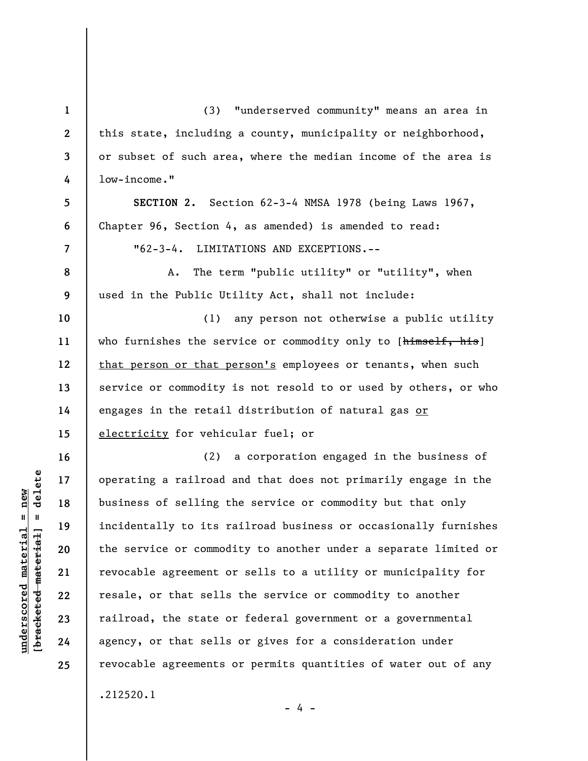**1 2 3 4 5 6 7 8 9 10 11 12 13 14 15 16 17 18 19 20 21 22 23 24 25**  (3) "underserved community" means an area in this state, including a county, municipality or neighborhood, or subset of such area, where the median income of the area is low-income." **SECTION 2.** Section 62-3-4 NMSA 1978 (being Laws 1967, Chapter 96, Section 4, as amended) is amended to read: "62-3-4. LIMITATIONS AND EXCEPTIONS.-- A. The term "public utility" or "utility", when used in the Public Utility Act, shall not include: (1) any person not otherwise a public utility who furnishes the service or commodity only to [himself, his] that person or that person's employees or tenants, when such service or commodity is not resold to or used by others, or who engages in the retail distribution of natural gas or electricity for vehicular fuel; or (2) a corporation engaged in the business of operating a railroad and that does not primarily engage in the business of selling the service or commodity but that only incidentally to its railroad business or occasionally furnishes the service or commodity to another under a separate limited or revocable agreement or sells to a utility or municipality for resale, or that sells the service or commodity to another railroad, the state or federal government or a governmental agency, or that sells or gives for a consideration under revocable agreements or permits quantities of water out of any .212520.1

- 4 -

 $\frac{1}{2}$  intereted material = delete **[bracketed material] = delete**  $underscored material = new$ **underscored material = new**